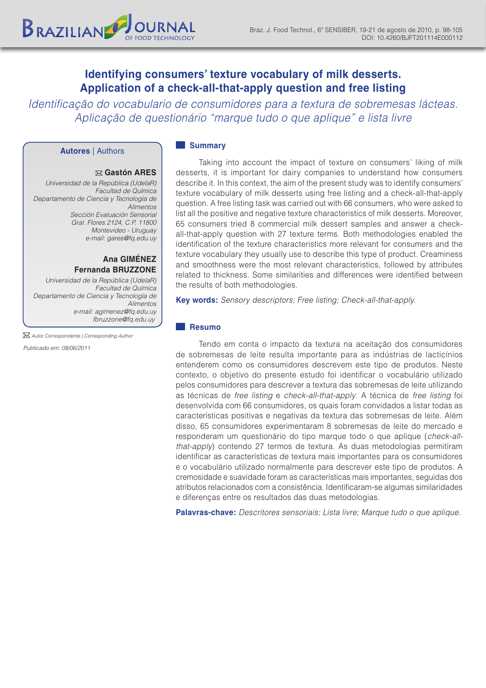*Identificação do vocabulario de consumidores para a textura de sobremesas lácteas. Aplicação de questionário "marque tudo o que aplique" e lista livre*

## **Autores** | Authors

BRAZILIAN

## **Gastón ARES**

*Universidad de la República (UdelaR) Facultad de Química Departamento de Ciencia y Tecnología de Alimentos Sección Evaluación Sensorial Gral. Flores 2124, C.P. 11800 Montevideo - Uruguay e-mail: gares@fq.edu.uy*

# **Ana GIMÉNEZ Fernanda BRUZZONE**

*Universidad de la República (UdelaR) Facultad de Química Departamento de Ciencia y Tecnología de Alimentos e-mail: agimenez@fq.edu.uy fbruzzone@fq.edu.uy*

*Autor Correspondente | Corresponding Author*

*Publicado em: 08/06/2011*

#### **Summary**

Taking into account the impact of texture on consumers' liking of milk desserts, it is important for dairy companies to understand how consumers describe it. In this context, the aim of the present study was to identify consumers' texture vocabulary of milk desserts using free listing and a check-all-that-apply question. A free listing task was carried out with 66 consumers, who were asked to list all the positive and negative texture characteristics of milk desserts. Moreover, 65 consumers tried 8 commercial milk dessert samples and answer a checkall-that-apply question with 27 texture terms. Both methodologies enabled the identification of the texture characteristics more relevant for consumers and the texture vocabulary they usually use to describe this type of product. Creaminess and smoothness were the most relevant characteristics, followed by attributes related to thickness. Some similarities and differences were identified between the results of both methodologies.

**Key words:** *Sensory descriptors; Free listing; Check-all-that-apply.*

# **Resumo**

Tendo em conta o impacto da textura na aceitação dos consumidores de sobremesas de leite resulta importante para as indústrias de lacticínios entenderem como os consumidores descrevem este tipo de produtos. Neste contexto, o objetivo do presente estudo foi identificar o vocabulário utilizado pelos consumidores para descrever a textura das sobremesas de leite utilizando as técnicas de *free listing* e *check-all-that-apply*. A técnica de *free listing* foi desenvolvida com 66 consumidores, os quais foram convidados a listar todas as características positivas e negativas da textura das sobremesas de leite. Além disso, 65 consumidores experimentaram 8 sobremesas de leite do mercado e responderam um questionário do tipo marque todo o que aplique (*check-allthat-apply*) contendo 27 termos de textura. As duas metodologias permitiram identificar as características de textura mais importantes para os consumidores e o vocabulário utilizado normalmente para descrever este tipo de produtos. A cremosidade e suavidade foram as características mais importantes, seguidas dos atributos relacionados com a consistência. Identificaram-se algumas similaridades e diferenças entre os resultados das duas metodologias.

**Palavras-chave:** *Descritores sensoriais; Lista livre; Marque tudo o que aplique.*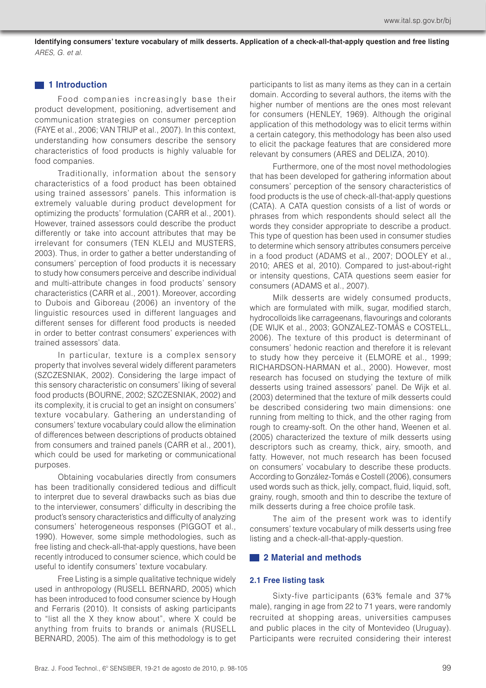# **1** 1 Introduction

Food companies increasingly base their product development, positioning, advertisement and communication strategies on consumer perception (FAYE et al., 2006; VAN TRIJP et al., 2007). In this context, understanding how consumers describe the sensory characteristics of food products is highly valuable for food companies.

Traditionally, information about the sensory characteristics of a food product has been obtained using trained assessors' panels. This information is extremely valuable during product development for optimizing the products' formulation (CARR et al., 2001). However, trained assessors could describe the product differently or take into account attributes that may be irrelevant for consumers (TEN KLEIJ and MUSTERS, 2003). Thus, in order to gather a better understanding of consumers' perception of food products it is necessary to study how consumers perceive and describe individual and multi-attribute changes in food products' sensory characteristics (CARR et al., 2001). Moreover, according to Dubois and Giboreau (2006) an inventory of the linguistic resources used in different languages and different senses for different food products is needed in order to better contrast consumers' experiences with trained assessors' data.

In particular, texture is a complex sensory property that involves several widely different parameters (SZCZESNIAK, 2002). Considering the large impact of this sensory characteristic on consumers' liking of several food products (BOURNE, 2002; SZCZESNIAK, 2002) and its complexity, it is crucial to get an insight on consumers' texture vocabulary. Gathering an understanding of consumers' texture vocabulary could allow the elimination of differences between descriptions of products obtained from consumers and trained panels (CARR et al., 2001), which could be used for marketing or communicational purposes.

Obtaining vocabularies directly from consumers has been traditionally considered tedious and difficult to interpret due to several drawbacks such as bias due to the interviewer, consumers' difficulty in describing the product's sensory characteristics and difficulty of analyzing consumers' heterogeneous responses (PIGGOT et al., 1990). However, some simple methodologies, such as free listing and check-all-that-apply questions, have been recently introduced to consumer science, which could be useful to identify consumers' texture vocabulary.

Free Listing is a simple qualitative technique widely used in anthropology (RUSELL BERNARD, 2005) which has been introduced to food consumer science by Hough and Ferraris (2010). It consists of asking participants to "list all the X they know about", where X could be anything from fruits to brands or animals (RUSELL BERNARD, 2005). The aim of this methodology is to get participants to list as many items as they can in a certain domain. According to several authors, the items with the higher number of mentions are the ones most relevant for consumers (HENLEY, 1969). Although the original application of this methodology was to elicit terms within a certain category, this methodology has been also used to elicit the package features that are considered more relevant by consumers (ARES and DELIZA, 2010).

Furthermore, one of the most novel methodologies that has been developed for gathering information about consumers' perception of the sensory characteristics of food products is the use of check-all-that-apply questions (CATA). A CATA question consists of a list of words or phrases from which respondents should select all the words they consider appropriate to describe a product. This type of question has been used in consumer studies to determine which sensory attributes consumers perceive in a food product (ADAMS et al., 2007; DOOLEY et al., 2010; ARES et al, 2010). Compared to just-about-right or intensity questions, CATA questions seem easier for consumers (ADAMS et al., 2007).

Milk desserts are widely consumed products, which are formulated with milk, sugar, modified starch, hydrocolloids like carrageenans, flavourings and colorants (DE WIJK et al., 2003; GONZALEZ-TOMÁS e COSTELL, 2006). The texture of this product is determinant of consumers' hedonic reaction and therefore it is relevant to study how they perceive it (ELMORE et al., 1999; RICHARDSON-HARMAN et al., 2000). However, most research has focused on studying the texture of milk desserts using trained assessors' panel. De Wijk et al. (2003) determined that the texture of milk desserts could be described considering two main dimensions: one running from melting to thick, and the other raging from rough to creamy-soft. On the other hand, Weenen et al. (2005) characterized the texture of milk desserts using descriptors such as creamy, thick, airy, smooth, and fatty. However, not much research has been focused on consumers' vocabulary to describe these products. According to González-Tomás e Costell (2006), consumers used words such as thick, jelly, compact, fluid, liquid, soft, grainy, rough, smooth and thin to describe the texture of milk desserts during a free choice profile task.

The aim of the present work was to identify consumers' texture vocabulary of milk desserts using free listing and a check-all-that-apply-question.

## **2 Material and methods**

#### **2.1 Free listing task**

Sixty-five participants (63% female and 37% male), ranging in age from 22 to 71 years, were randomly recruited at shopping areas, universities campuses and public places in the city of Montevideo (Uruguay). Participants were recruited considering their interest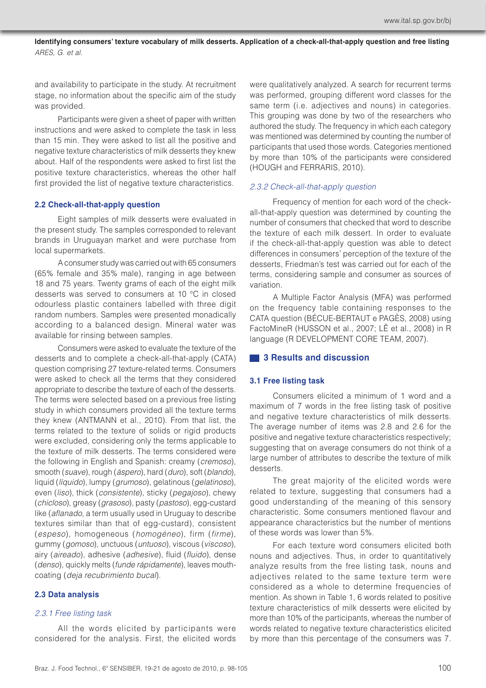and availability to participate in the study. At recruitment stage, no information about the specific aim of the study was provided.

Participants were given a sheet of paper with written instructions and were asked to complete the task in less than 15 min. They were asked to list all the positive and negative texture characteristics of milk desserts they knew about. Half of the respondents were asked to first list the positive texture characteristics, whereas the other half first provided the list of negative texture characteristics.

## **2.2 Check-all-that-apply question**

Eight samples of milk desserts were evaluated in the present study. The samples corresponded to relevant brands in Uruguayan market and were purchase from local supermarkets.

A consumer study was carried out with 65 consumers (65% female and 35% male), ranging in age between 18 and 75 years. Twenty grams of each of the eight milk desserts was served to consumers at 10 °C in closed odourless plastic containers labelled with three digit random numbers. Samples were presented monadically according to a balanced design. Mineral water was available for rinsing between samples.

Consumers were asked to evaluate the texture of the desserts and to complete a check-all-that-apply (CATA) question comprising 27 texture-related terms. Consumers were asked to check all the terms that they considered appropriate to describe the texture of each of the desserts. The terms were selected based on a previous free listing study in which consumers provided all the texture terms they knew (ANTMANN et al., 2010). From that list, the terms related to the texture of solids or rigid products were excluded, considering only the terms applicable to the texture of milk desserts. The terms considered were the following in English and Spanish: creamy (*cremoso*), smooth (*suave*), rough (*áspero*), hard (*duro*), soft (*blando*), liquid (*líquido*), lumpy (*grumoso*), gelatinous (*gelatinoso*), even (*liso*), thick (*consistente*), sticky (*pegajoso*), chewy (*chicloso*), greasy (*grasoso*), pasty (*pastoso*), egg-custard like (*aflanado*, a term usually used in Uruguay to describe textures similar than that of egg-custard), consistent (*espeso*), homogeneous (*homogéneo*), firm (*firme*), gummy (*gomoso*), unctuous (*untuoso*), viscous (*viscoso*), airy (*aireado*), adhesive (*adhesive*), fluid (*fluido*), dense (*denso*), quickly melts (*funde rápidamente*), leaves mouthcoating (*deja recubrimiento bucal*).

## **2.3 Data analysis**

#### *2.3.1 Free listing task*

All the words elicited by participants were considered for the analysis. First, the elicited words were qualitatively analyzed. A search for recurrent terms was performed, grouping different word classes for the same term (i.e. adjectives and nouns) in categories. This grouping was done by two of the researchers who authored the study. The frequency in which each category was mentioned was determined by counting the number of participants that used those words. Categories mentioned by more than 10% of the participants were considered (HOUGH and FERRARIS, 2010).

#### *2.3.2 Check-all-that-apply question*

Frequency of mention for each word of the checkall-that-apply question was determined by counting the number of consumers that checked that word to describe the texture of each milk dessert. In order to evaluate if the check-all-that-apply question was able to detect differences in consumers' perception of the texture of the desserts, Friedman's test was carried out for each of the terms, considering sample and consumer as sources of variation.

A Multiple Factor Analysis (MFA) was performed on the frequency table containing responses to the CATA question (BÉCUE-BERTAUT e PAGÈS, 2008) using FactoMineR (HUSSON et al., 2007; LÊ et al., 2008) in R language (R DEVELOPMENT CORE TEAM, 2007).

## **3 Results and discussion**

## **3.1 Free listing task**

Consumers elicited a minimum of 1 word and a maximum of 7 words in the free listing task of positive and negative texture characteristics of milk desserts. The average number of items was 2.8 and 2.6 for the positive and negative texture characteristics respectively; suggesting that on average consumers do not think of a large number of attributes to describe the texture of milk desserts.

The great majority of the elicited words were related to texture, suggesting that consumers had a good understanding of the meaning of this sensory characteristic. Some consumers mentioned flavour and appearance characteristics but the number of mentions of these words was lower than 5%.

For each texture word consumers elicited both nouns and adjectives. Thus, in order to quantitatively analyze results from the free listing task, nouns and adjectives related to the same texture term were considered as a whole to determine frequencies of mention. As shown in Table 1, 6 words related to positive texture characteristics of milk desserts were elicited by more than 10% of the participants, whereas the number of words related to negative texture characteristics elicited by more than this percentage of the consumers was 7.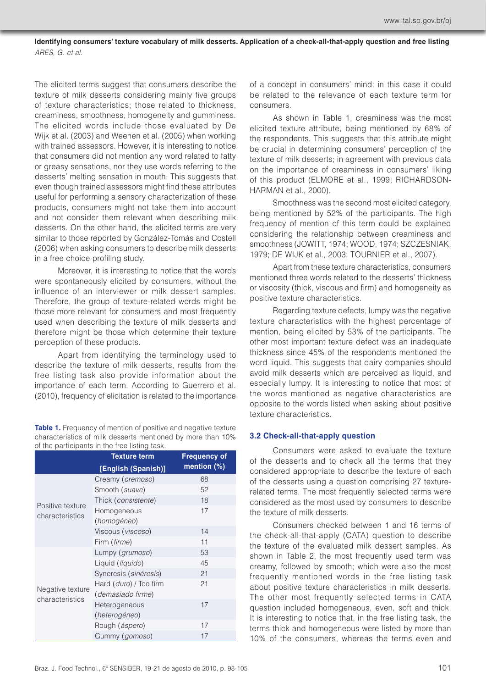The elicited terms suggest that consumers describe the texture of milk desserts considering mainly five groups of texture characteristics; those related to thickness, creaminess, smoothness, homogeneity and gumminess. The elicited words include those evaluated by De Wijk et al. (2003) and Weenen et al. (2005) when working with trained assessors. However, it is interesting to notice that consumers did not mention any word related to fatty or greasy sensations, nor they use words referring to the desserts' melting sensation in mouth. This suggests that even though trained assessors might find these attributes useful for performing a sensory characterization of these products, consumers might not take them into account and not consider them relevant when describing milk desserts. On the other hand, the elicited terms are very similar to those reported by González-Tomás and Costell (2006) when asking consumers to describe milk desserts in a free choice profiling study.

Moreover, it is interesting to notice that the words were spontaneously elicited by consumers, without the influence of an interviewer or milk dessert samples. Therefore, the group of texture-related words might be those more relevant for consumers and most frequently used when describing the texture of milk desserts and therefore might be those which determine their texture perception of these products.

Apart from identifying the terminology used to describe the texture of milk desserts, results from the free listing task also provide information about the importance of each term. According to Guerrero et al. (2010), frequency of elicitation is related to the importance

Table 1. Frequency of mention of positive and negative texture characteristics of milk desserts mentioned by more than 10% of the participants in the free listing task.

|                                     | <b>Texture term</b>      | <b>Frequency of</b> |
|-------------------------------------|--------------------------|---------------------|
|                                     | [English (Spanish)]      | mention $(\%)$      |
| Positive texture<br>characteristics | Creamy (cremoso)         | 68                  |
|                                     | Smooth (suave)           | 52                  |
|                                     | Thick (consistente)      | 18                  |
|                                     | Homogeneous              | 17                  |
|                                     | (homogéneo)              |                     |
|                                     | Viscous (viscoso)        | 14                  |
|                                     | Firm (firme)             | 11                  |
| Negative texture<br>characteristics | Lumpy ( <i>grumoso</i> ) | 53                  |
|                                     | Liquid (líquido)         | 45                  |
|                                     | Syneresis (sinéresis)    | 21                  |
|                                     | Hard (duro) / Too firm   | 21                  |
|                                     | (demasiado firme)        |                     |
|                                     | Heterogeneous            | 17                  |
|                                     | (heterogéneo)            |                     |
|                                     | Rough ( <i>áspero</i> )  | 17                  |
|                                     | Gummy (gomoso)           | 17                  |

of a concept in consumers' mind; in this case it could be related to the relevance of each texture term for consumers.

As shown in Table 1, creaminess was the most elicited texture attribute, being mentioned by 68% of the respondents. This suggests that this attribute might be crucial in determining consumers' perception of the texture of milk desserts; in agreement with previous data on the importance of creaminess in consumers' liking of this product (ELMORE et al., 1999; RICHARDSON-HARMAN et al., 2000).

Smoothness was the second most elicited category, being mentioned by 52% of the participants. The high frequency of mention of this term could be explained considering the relationship between creaminess and smoothness (JOWITT, 1974; WOOD, 1974; SZCZESNIAK, 1979; DE WIJK et al., 2003; TOURNIER et al., 2007).

Apart from these texture characteristics, consumers mentioned three words related to the desserts' thickness or viscosity (thick, viscous and firm) and homogeneity as positive texture characteristics.

Regarding texture defects, lumpy was the negative texture characteristics with the highest percentage of mention, being elicited by 53% of the participants. The other most important texture defect was an inadequate thickness since 45% of the respondents mentioned the word liquid. This suggests that dairy companies should avoid milk desserts which are perceived as liquid, and especially lumpy. It is interesting to notice that most of the words mentioned as negative characteristics are opposite to the words listed when asking about positive texture characteristics.

## **3.2 Check-all-that-apply question**

Consumers were asked to evaluate the texture of the desserts and to check all the terms that they considered appropriate to describe the texture of each of the desserts using a question comprising 27 texturerelated terms. The most frequently selected terms were considered as the most used by consumers to describe the texture of milk desserts.

Consumers checked between 1 and 16 terms of the check-all-that-apply (CATA) question to describe the texture of the evaluated milk dessert samples. As shown in Table 2, the most frequently used term was creamy, followed by smooth; which were also the most frequently mentioned words in the free listing task about positive texture characteristics in milk desserts. The other most frequently selected terms in CATA question included homogeneous, even, soft and thick. It is interesting to notice that, in the free listing task, the terms thick and homogeneous were listed by more than 10% of the consumers, whereas the terms even and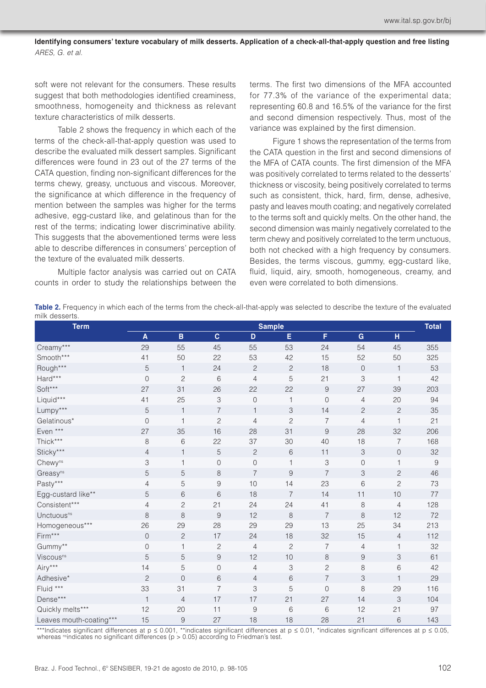soft were not relevant for the consumers. These results suggest that both methodologies identified creaminess. smoothness, homogeneity and thickness as relevant texture characteristics of milk desserts.

Table 2 shows the frequency in which each of the terms of the check-all-that-apply question was used to describe the evaluated milk dessert samples. Significant differences were found in 23 out of the 27 terms of the CATA question, finding non-significant differences for the terms chewy, greasy, unctuous and viscous. Moreover, the significance at which difference in the frequency of mention between the samples was higher for the terms adhesive, egg-custard like, and gelatinous than for the rest of the terms; indicating lower discriminative ability. This suggests that the abovementioned terms were less able to describe differences in consumers' perception of the texture of the evaluated milk desserts.

Multiple factor analysis was carried out on CATA counts in order to study the relationships between the

terms. The first two dimensions of the MFA accounted for 77.3% of the variance of the experimental data; representing 60.8 and 16.5% of the variance for the first and second dimension respectively. Thus, most of the variance was explained by the first dimension.

Figure 1 shows the representation of the terms from the CATA question in the first and second dimensions of the MFA of CATA counts. The first dimension of the MFA was positively correlated to terms related to the desserts' thickness or viscosity, being positively correlated to terms such as consistent, thick, hard, firm, dense, adhesive, pasty and leaves mouth coating; and negatively correlated to the terms soft and quickly melts. On the other hand, the second dimension was mainly negatively correlated to the term chewy and positively correlated to the term unctuous, both not checked with a high frequency by consumers. Besides, the terms viscous, gummy, egg-custard like, fluid, liquid, airy, smooth, homogeneous, creamy, and even were correlated to both dimensions.

**Table 2.** Frequency in which each of the terms from the check-all-that-apply was selected to describe the texture of the evaluated milk desserts.

| <b>Term</b>             | <b>Sample</b> |                |                |                |                  |                |                |                | <b>Total</b> |
|-------------------------|---------------|----------------|----------------|----------------|------------------|----------------|----------------|----------------|--------------|
|                         | A             | B              | $\mathbf{C}$   | D              | E                | F              | $\mathbf G$    | H              |              |
| Creamy***               | 29            | 55             | 45             | 55             | 53               | 24             | 54             | 45             | 355          |
| Smooth***               | 41            | 50             | 22             | 53             | 42               | 15             | 52             | 50             | 325          |
| Rough***                | 5             | $\mathbf{1}$   | 24             | $\mathbf{2}$   | $\mathbf{2}$     | 18             | $\overline{0}$ | $\mathbf{1}$   | 53           |
| Hard***                 | $\mathbf 0$   | $\mathbf{2}$   | 6              | 4              | 5                | 21             | 3              | 1              | 42           |
| Soft***                 | 27            | 31             | 26             | 22             | 22               | 9              | 27             | 39             | 203          |
| Liquid***               | 41            | 25             | 3              | $\mathsf O$    | $\mathbf{1}$     | $\mathbf 0$    | 4              | 20             | 94           |
| Lumpy***                | 5             | $\mathbf{1}$   | $\overline{7}$ | $\mathbf{1}$   | 3                | 14             | $\mathbf{2}$   | $\mathbf{2}$   | 35           |
| Gelatinous*             | $\mathbf 0$   | $\mathbf{1}$   | $\overline{c}$ | 4              | $\overline{c}$   | $\overline{7}$ | $\overline{4}$ | $\overline{1}$ | 21           |
| Even ***                | 27            | 35             | 16             | 28             | 31               | 9              | 28             | 32             | 206          |
| Thick***                | 8             | 6              | 22             | 37             | 30               | 40             | 18             | $\overline{7}$ | 168          |
| Sticky***               | 4             | $\mathbf{1}$   | 5              | $\overline{c}$ | $\,$ 6 $\,$      | 11             | 3              | $\mathsf{O}$   | 32           |
| Chewyns                 | 3             | $\mathbf{1}$   | $\overline{0}$ | $\overline{0}$ | $\mathbf{1}$     | 3              | $\overline{0}$ | 1              | $\mathsf 9$  |
| Greasyns                | $\sqrt{5}$    | 5              | 8              | $\overline{7}$ | $\boldsymbol{9}$ | $\overline{7}$ | 3              | $\mathbf{2}$   | 46           |
| Pasty***                | 4             | 5              | 9              | 10             | 14               | 23             | 6              | $\overline{c}$ | 73           |
| Egg-custard like**      | $\sqrt{5}$    | 6              | 6              | 18             | $\overline{7}$   | 14             | 11             | 10             | 77           |
| Consistent***           | 4             | $\mathbf{2}$   | 21             | 24             | 24               | 41             | 8              | $\overline{4}$ | 128          |
| Unctuous <sup>ns</sup>  | 8             | 8              | $\overline{9}$ | 12             | $\,8\,$          | $\overline{7}$ | 8              | 12             | 72           |
| Homogeneous***          | 26            | 29             | 28             | 29             | 29               | 13             | 25             | 34             | 213          |
| $\mathsf{Firm^{***}}$   | $\mathsf O$   | $\mathbf{2}$   | 17             | 24             | 18               | 32             | 15             | $\overline{4}$ | 112          |
| Gummy**                 | $\mathsf O$   | $\mathbf{1}$   | $\mathbf{2}$   | $\overline{4}$ | $\overline{c}$   | $\overline{7}$ | 4              |                | 32           |
| Viscous <sup>ns</sup>   | 5             | 5              | $\hbox{9}$     | 12             | 10               | 8              | $\mathsf 9$    | 3              | 61           |
| Airy***                 | 14            | 5              | $\mathsf{O}$   | 4              | 3                | $\mathbf{2}$   | 8              | 6              | 42           |
| Adhesive*               | $\mathbf{2}$  | $\overline{0}$ | 6              | 4              | 6                | 7              | 3              |                | 29           |
| Fluid ***               | 33            | 31             | $\overline{7}$ | 3              | 5                | $\mathbf 0$    | 8              | 29             | 116          |
| Dense***                | $\mathbf{1}$  | 4              | 17             | 17             | 21               | 27             | 14             | 3              | 104          |
| Quickly melts***        | 12            | 20             | 11             | $\hbox{9}$     | $\,$ 6 $\,$      | 6              | 12             | 21             | 97           |
| Leaves mouth-coating*** | 15            | $\mathcal{G}$  | 27             | 18             | 18               | 28             | 21             | 6              | 143          |

\*\*\*Indicates significant differences at p ≤ 0.001, \*\*indicates significant differences at p ≤ 0.01, \*indicates significant differences at p ≤ 0.05, whereas nsindicates no significant differences ( $p > 0.05$ ) according to Friedman's test.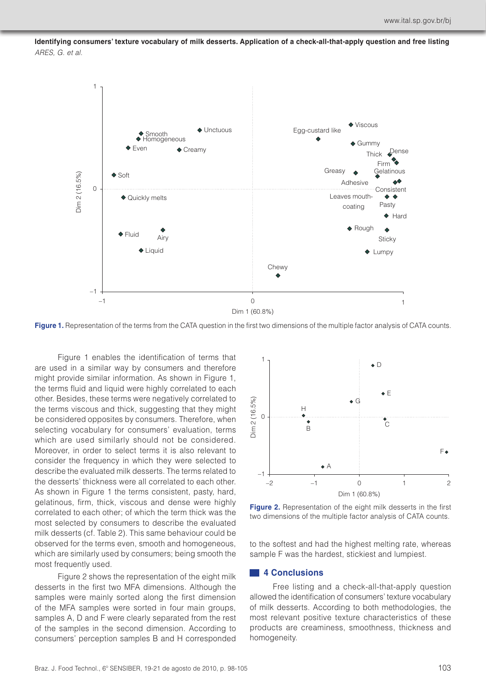

**Figure 1.** Representation of the terms from the CATA question in the first two dimensions of the multiple factor analysis of CATA counts.

Figure 1 enables the identification of terms that are used in a similar way by consumers and therefore might provide similar information. As shown in Figure 1, the terms fluid and liquid were highly correlated to each other. Besides, these terms were negatively correlated to the terms viscous and thick, suggesting that they might be considered opposites by consumers. Therefore, when selecting vocabulary for consumers' evaluation, terms which are used similarly should not be considered. Moreover, in order to select terms it is also relevant to consider the frequency in which they were selected to describe the evaluated milk desserts. The terms related to the desserts' thickness were all correlated to each other. As shown in Figure 1 the terms consistent, pasty, hard, gelatinous, firm, thick, viscous and dense were highly correlated to each other; of which the term thick was the most selected by consumers to describe the evaluated milk desserts (cf. Table 2). This same behaviour could be observed for the terms even, smooth and homogeneous, which are similarly used by consumers; being smooth the most frequently used.

Figure 2 shows the representation of the eight milk desserts in the first two MFA dimensions. Although the samples were mainly sorted along the first dimension of the MFA samples were sorted in four main groups, samples A, D and F were clearly separated from the rest of the samples in the second dimension. According to consumers' perception samples B and H corresponded



**Figure 2.** Representation of the eight milk desserts in the first two dimensions of the multiple factor analysis of CATA counts.

to the softest and had the highest melting rate, whereas sample F was the hardest, stickiest and lumpiest.

#### **4 Conclusions**

Free listing and a check-all-that-apply question allowed the identification of consumers' texture vocabulary of milk desserts. According to both methodologies, the most relevant positive texture characteristics of these products are creaminess, smoothness, thickness and homogeneity.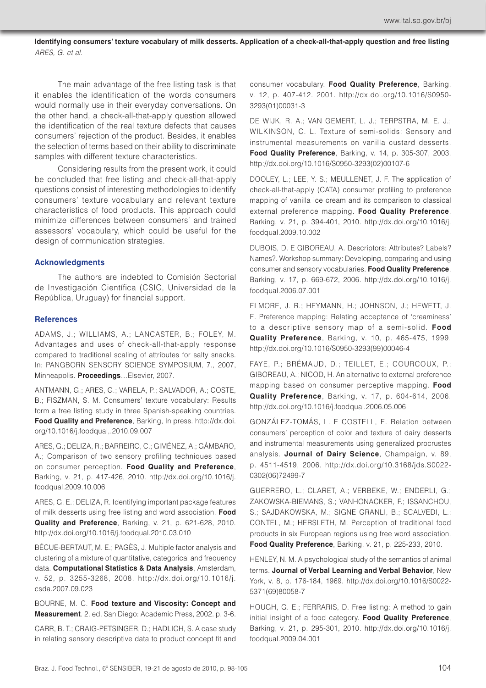The main advantage of the free listing task is that it enables the identification of the words consumers would normally use in their everyday conversations. On the other hand, a check-all-that-apply question allowed the identification of the real texture defects that causes consumers' rejection of the product. Besides, it enables the selection of terms based on their ability to discriminate samples with different texture characteristics.

Considering results from the present work, it could be concluded that free listing and check-all-that-apply questions consist of interesting methodologies to identify consumers' texture vocabulary and relevant texture characteristics of food products. This approach could minimize differences between consumers' and trained assessors' vocabulary, which could be useful for the design of communication strategies.

## **Acknowledgments**

The authors are indebted to Comisión Sectorial de Investigación Científica (CSIC, Universidad de la República, Uruguay) for financial support.

## **References**

ADAMS, J.; WILLIAMS, A.; LANCASTER, B.; FOLEY, M. Advantages and uses of check-all-that-apply response compared to traditional scaling of attributes for salty snacks. In: PANGBORN SENSORY SCIENCE SYMPOSIUM, 7., 2007, Minneapolis. **Proceedings**…Elsevier, 2007.

ANTMANN, G.; ARES, G.; VARELA, P.; SALVADOR, A.; COSTE, B.; FISZMAN, S. M. Consumers' texture vocabulary: Results form a free listing study in three Spanish-speaking countries. **Food Quality and Preference**, Barking, In press. http://dx.doi. org/10.1016/j.foodqual,.2010.09.007

ARES, G.; DELIZA, R.; BARREIRO, C.; GIMÉNEZ, A.; GÁMBARO, A.; Comparison of two sensory profiling techniques based on consumer perception. **Food Quality and Preference**, Barking, v. 21, p. 417-426, 2010. http://dx.doi.org/10.1016/j. foodqual.2009.10.006

ARES, G. E.; DELIZA, R. Identifying important package features of milk desserts using free listing and word association. **Food Quality and Preference**, Barking, v. 21, p. 621-628, 2010. http://dx.doi.org/10.1016/j.foodqual.2010.03.010

BÉCUE-BERTAUT, M. E.; PAGÈS, J. Multiple factor analysis and clustering of a mixture of quantitative, categorical and frequency data. **Computational Statistics & Data Analysis**, Amsterdam, v. 52, p. 3255-3268, 2008. http://dx.doi.org/10.1016/j. csda.2007.09.023

BOURNE, M. C. **Food texture and Viscosity: Concept and Measurement**. 2. ed. San Diego: Academic Press, 2002. p. 3-6.

CARR, B. T.; CRAIG-PETSINGER, D.; HADLICH, S. A case study in relating sensory descriptive data to product concept fit and consumer vocabulary. **Food Quality Preference**, Barking, v. 12, p. 407-412. 2001. http://dx.doi.org/10.1016/S0950- 3293(01)00031-3

DE WIJK, R. A.; VAN GEMERT, L. J.; TERPSTRA, M. E. J.; WILKINSON, C. L. Texture of semi-solids: Sensory and instrumental measurements on vanilla custard desserts. **Food Quality Preference**, Barking, v. 14, p. 305-307, 2003. http://dx.doi.org/10.1016/S0950-3293(02)00107-6

DOOLEY, L.; LEE, Y. S.; MEULLENET, J. F. The application of check-all-that-apply (CATA) consumer profiling to preference mapping of vanilla ice cream and its comparison to classical external preference mapping. **Food Quality Preference**, Barking, v. 21, p. 394-401, 2010. http://dx.doi.org/10.1016/j. foodqual.2009.10.002

DUBOIS, D. E GIBOREAU, A. Descriptors: Attributes? Labels? Names?. Workshop summary: Developing, comparing and using consumer and sensory vocabularies. **Food Quality Preference**, Barking, v. 17, p. 669-672, 2006. http://dx.doi.org/10.1016/j. foodqual.2006.07.001

ELMORE, J. R.; HEYMANN, H.; JOHNSON, J.; HEWETT, J. E. Preference mapping: Relating acceptance of 'creaminess' to a descriptive sensory map of a semi-solid. **Food Quality Preference**, Barking, v. 10, p. 465-475, 1999. http://dx.doi.org/10.1016/S0950-3293(99)00046-4

FAYE, P.; BRÉMAUD, D.; TEILLET, E.; COURCOUX, P.; GIBOREAU, A.; NICOD, H. An alternative to external preference mapping based on consumer perceptive mapping. **Food Quality Preference**, Barking, v. 17, p. 604-614, 2006. http://dx.doi.org/10.1016/j.foodqual.2006.05.006

GONZÁLEZ-TOMÁS, L. E COSTELL, E. Relation between consumers' perception of color and texture of dairy desserts and instrumental measurements using generalized procrustes analysis. **Journal of Dairy Science**, Champaign, v. 89, p. 4511-4519, 2006. http://dx.doi.org/10.3168/jds.S0022- 0302(06)72499-7

GUERRERO, L.; CLARET, A.; VERBEKE, W.; ENDERLI, G.; ZAKOWSKA-BIEMANS, S.; VANHONACKER, F.; ISSANCHOU, S.; SAJDAKOWSKA, M.; SIGNE GRANLI, B.; SCALVEDI, L.; CONTEL, M.; HERSLETH, M. Perception of traditional food products in six European regions using free word association. **Food Quality Preference**, Barking, v. 21, p. 225-233, 2010.

HENLEY, N. M. A psychological study of the semantics of animal terms. **Journal of Verbal Learning and Verbal Behavior**, New York, v. 8, p. 176-184, 1969. http://dx.doi.org/10.1016/S0022- 5371(69)80058-7

HOUGH, G. E.; FERRARIS, D. Free listing: A method to gain initial insight of a food category. **Food Quality Preference**, Barking, v. 21, p. 295-301, 2010. http://dx.doi.org/10.1016/j. foodqual.2009.04.001